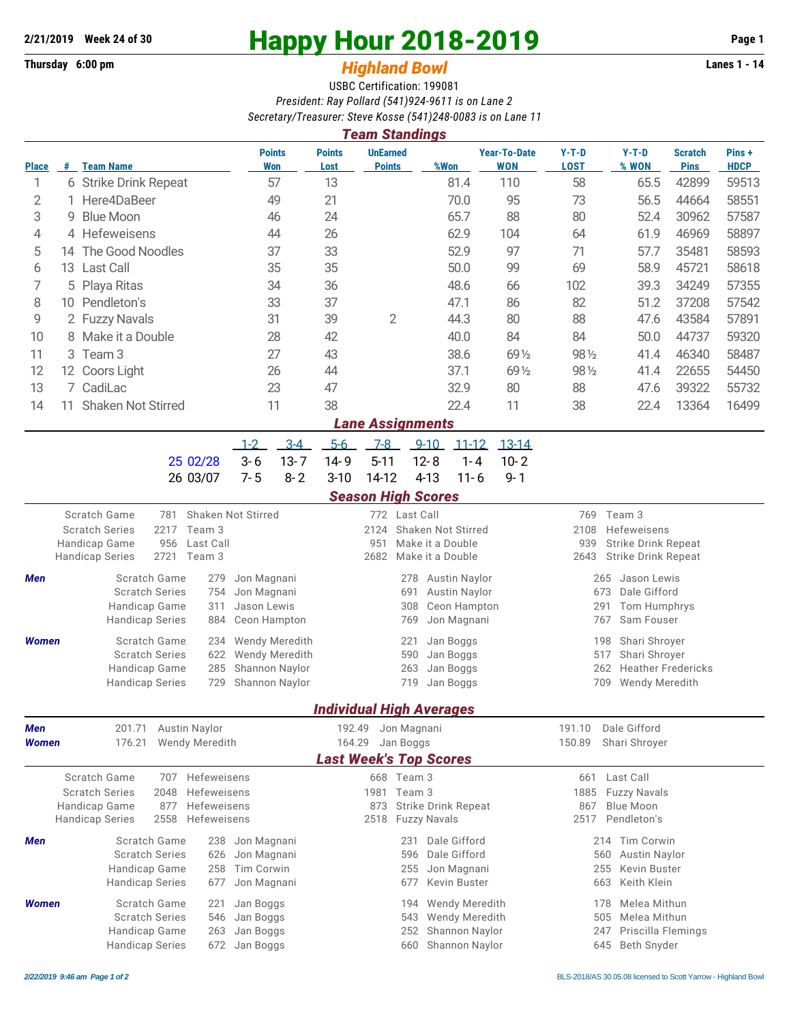## **Thursday 6:00 pm** *Highland Bowl* **Lanes 1 - 14**

## **2/21/2019 Week 24 of 30 Happy Hour 2018-2019 Page 1**

## USBC Certification: 199081 *President: Ray Pollard (541)924-9611 is on Lane 2 Secretary/Treasurer: Steve Kosse (541)248-0083 is on Lane 11*

|              |                                                      |                                           |      |          |             |                                                                   |                                             | <b>Team Standings</b>            |          |           |                                   |                                                                 |                     |                               |                      |  |  |
|--------------|------------------------------------------------------|-------------------------------------------|------|----------|-------------|-------------------------------------------------------------------|---------------------------------------------|----------------------------------|----------|-----------|-----------------------------------|-----------------------------------------------------------------|---------------------|-------------------------------|----------------------|--|--|
| <b>Place</b> | #                                                    | <b>Team Name</b>                          |      |          |             | <b>Points</b><br><b>Won</b>                                       | <b>Points</b><br>Lost                       | <b>UnEarned</b><br><b>Points</b> |          | %Won      | <b>Year-To-Date</b><br><b>WON</b> | $Y-T-D$<br><b>LOST</b>                                          | $Y-T-D$<br>% WON    | <b>Scratch</b><br><b>Pins</b> | Pins+<br><b>HDCP</b> |  |  |
| 1            |                                                      | 6 Strike Drink Repeat                     |      |          |             | 57                                                                | 13                                          |                                  |          | 81.4      | 110                               | 58                                                              | 65.5                | 42899                         | 59513                |  |  |
| 2            |                                                      | Here4DaBeer                               |      |          |             | 49                                                                | 21                                          |                                  |          | 70.0      | 95                                | 73                                                              | 56.5                | 44664                         | 58551                |  |  |
| 3            | 9                                                    | <b>Blue Moon</b>                          |      |          |             | 46                                                                | 24                                          |                                  |          | 65.7      | 88                                | 80                                                              | 52.4                | 30962                         | 57587                |  |  |
| 4            |                                                      | 4 Hefeweisens                             |      |          |             | 44                                                                | 26                                          |                                  |          | 62.9      | 104                               | 64                                                              | 61.9                | 46969                         | 58897                |  |  |
| 5            |                                                      | 14 The Good Noodles                       |      |          |             | 37                                                                | 33                                          |                                  |          | 52.9      | 97                                | 71                                                              | 57.7                | 35481                         | 58593                |  |  |
| 6            | 13                                                   | Last Call                                 |      |          |             | 35                                                                | 35                                          |                                  |          | 50.0      | 99                                | 69                                                              | 58.9                | 45721                         | 58618                |  |  |
| 7            | 5                                                    | Playa Ritas                               |      |          |             | 34                                                                | 36                                          |                                  |          | 48.6      | 66                                | 102                                                             | 39.3                | 34249                         | 57355                |  |  |
| 8            |                                                      | 10 Pendleton's                            |      |          |             | 33                                                                | 37                                          |                                  |          | 47.1      | 86                                | 82                                                              | 51.2                | 37208                         | 57542                |  |  |
| 9            | 2 Fuzzy Navals                                       |                                           |      |          |             | 31<br>39                                                          |                                             | $\overline{2}$                   |          | 44.3      | 80                                | 88                                                              | 47.6                | 43584                         | 57891                |  |  |
| 10           |                                                      | 8 Make it a Double                        |      |          |             | 28                                                                | 42                                          |                                  |          | 40.0      | 84                                | 84                                                              | 50.0                | 44737                         | 59320                |  |  |
| 11           |                                                      | 3 Team 3                                  |      |          |             | 27                                                                | 43                                          |                                  |          | 38.6      | 69 1/2                            | 98 1/2                                                          | 41.4                | 46340                         | 58487                |  |  |
| 12           |                                                      | 12 Coors Light                            |      |          |             | 26                                                                | 44                                          |                                  |          | 37.1      | 69 1/2                            | 981/2                                                           | 41.4                | 22655                         | 54450                |  |  |
| 13           |                                                      | 7 CadiLac                                 |      | 23       |             | 47                                                                |                                             |                                  | 32.9     | 80        | 88                                | 47.6                                                            | 39322               | 55732                         |                      |  |  |
| 14           | <b>Shaken Not Stirred</b><br>11                      |                                           |      | 11       |             | 38                                                                |                                             |                                  | 22.4     | 11        | 38                                | 22.4                                                            | 13364               | 16499                         |                      |  |  |
|              |                                                      |                                           |      |          |             |                                                                   |                                             | <b>Lane Assignments</b>          |          |           |                                   |                                                                 |                     |                               |                      |  |  |
|              |                                                      |                                           |      |          | $1 - 2$     | $3 - 4$                                                           | $5-6$                                       | $7-8$                            | $9 - 10$ | $11 - 12$ | $13 - 14$                         |                                                                 |                     |                               |                      |  |  |
|              |                                                      |                                           |      | 25 02/28 | $3-6$       | $13 - 7$                                                          | $14 - 9$                                    | $5 - 11$                         | $12 - 8$ | $1 - 4$   | $10 - 2$                          |                                                                 |                     |                               |                      |  |  |
|              |                                                      |                                           |      | 26 03/07 | $7 - 5$     | $8 - 2$                                                           | $3 - 10$                                    | 14-12                            | $4 - 13$ | $11 - 6$  | $9 - 1$                           |                                                                 |                     |                               |                      |  |  |
|              |                                                      |                                           |      |          |             |                                                                   |                                             | <b>Season High Scores</b>        |          |           |                                   |                                                                 |                     |                               |                      |  |  |
|              |                                                      | Shaken Not Stirred<br>Scratch Game<br>781 |      |          |             |                                                                   |                                             | 772 Last Call                    |          |           |                                   | 769                                                             | Team 3              |                               |                      |  |  |
|              |                                                      | <b>Scratch Series</b><br>2217<br>Team 3   |      |          |             |                                                                   |                                             | Shaken Not Stirred<br>2124       |          |           |                                   |                                                                 | Hefeweisens<br>2108 |                               |                      |  |  |
|              |                                                      | Last Call<br>Handicap Game<br>956         |      |          |             |                                                                   | Make it a Double<br>951<br>Make it a Double |                                  |          |           |                                   | 939<br><b>Strike Drink Repeat</b><br><b>Strike Drink Repeat</b> |                     |                               |                      |  |  |
|              |                                                      | <b>Handicap Series</b>                    | 2721 | Team 3   |             |                                                                   |                                             | 2682                             |          |           |                                   | 2643                                                            |                     |                               |                      |  |  |
| <b>Men</b>   | Scratch Game<br>279                                  |                                           |      |          |             | <b>Austin Naylor</b><br>Jon Magnani<br>278                        |                                             |                                  |          |           |                                   |                                                                 | Jason Lewis<br>265  |                               |                      |  |  |
|              | <b>Scratch Series</b><br>754<br>Handicap Game<br>311 |                                           |      |          | Jason Lewis | Jon Magnani<br><b>Austin Naylor</b><br>691<br>308<br>Ceon Hampton |                                             |                                  |          |           |                                   | Dale Gifford<br>673<br>Tom Humphrys<br>291                      |                     |                               |                      |  |  |

|       | Thursday Same<br><b>Handicap Series</b> | <u> UII UUUUILLUIIU</u><br>884 Ceon Hampton | 769 Jon Magnani | 767 Sam Fouser         |
|-------|-----------------------------------------|---------------------------------------------|-----------------|------------------------|
| Women | Scratch Game                            | 234 Wendy Meredith                          | 221 Jan Boggs   | 198 Shari Shroyer      |
|       | <b>Scratch Series</b>                   | 622 Wendy Meredith                          | 590 Jan Boggs   | 517 Shari Shroyer      |
|       | Handicap Game                           | 285 Shannon Naylor                          | 263 Jan Boggs   | 262 Heather Fredericks |
|       | <b>Handicap Series</b>                  | 729 Shannon Naylor                          | 719 Jan Boggs   | 709 Wendy Meredith     |
|       |                                         |                                             |                 |                        |

## *Individual High Averages*

| <b>Men</b>   | 201.71                 |                     | <b>Austin Naylor</b> |               | 192.49                        | Jon Magnani |                            | 191.10        | Dale Gifford              |  |
|--------------|------------------------|---------------------|----------------------|---------------|-------------------------------|-------------|----------------------------|---------------|---------------------------|--|
| <b>Women</b> | 176.21                 | Wendy Meredith      |                      | 164.29        | Jan Boggs                     |             | 150.89                     | Shari Shrover |                           |  |
|              |                        |                     |                      |               | <b>Last Week's Top Scores</b> |             |                            |               |                           |  |
|              | Scratch Game           | 707                 | Hefeweisens          |               | 668                           | Team 3      |                            | 661           | Last Call                 |  |
|              | <b>Scratch Series</b>  | 2048                | <b>Hefeweisens</b>   |               | 1981                          | Team 3      |                            | 1885          | <b>Fuzzy Navals</b>       |  |
|              | Handicap Game<br>877   |                     | Hefeweisens          |               | 873                           |             | <b>Strike Drink Repeat</b> | 867           | Blue Moon                 |  |
|              | <b>Handicap Series</b> | 2558<br>Hefeweisens |                      |               | 2518                          |             | <b>Fuzzy Navals</b>        | 2517          | Pendleton's               |  |
| <b>Men</b>   | Scratch Game           |                     | 238                  | Jon Magnani   |                               | 231         | Dale Gifford               |               | Tim Corwin<br>214         |  |
|              | <b>Scratch Series</b>  |                     | 626                  | Jon Magnani   |                               | 596         | Dale Gifford               |               | Austin Naylor<br>560      |  |
|              | Handicap Game          |                     | 258                  | Tim Corwin    |                               | 255         | Jon Magnani                |               | Kevin Buster<br>255       |  |
|              | <b>Handicap Series</b> |                     | 677                  | Jon Magnani   |                               | 677         | Kevin Buster               |               | Keith Klein<br>663        |  |
| <b>Women</b> | Scratch Game           |                     | 221                  | Jan Boggs     |                               | 194         | <b>Wendy Meredith</b>      |               | Melea Mithun<br>178       |  |
|              | <b>Scratch Series</b>  |                     | 546                  | Jan Boggs     |                               | 543         | <b>Wendy Meredith</b>      |               | Melea Mithun<br>505       |  |
|              | Handicap Game          |                     | 263                  | Jan Boggs     |                               | 252         | Shannon Naylor             |               | Priscilla Flemings<br>247 |  |
|              | <b>Handicap Series</b> |                     |                      | 672 Jan Boggs |                               | 660         | Shannon Naylor             |               | Beth Snyder<br>645        |  |